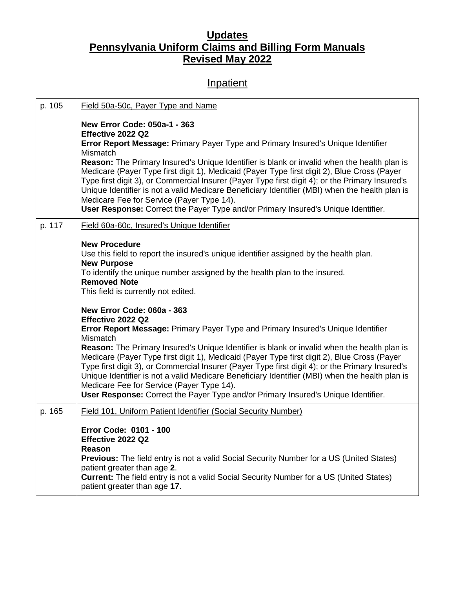## **Updates Pennsylvania Uniform Claims and Billing Form Manuals Revised May 2022**

## **Inpatient**

| p. 105 | Field 50a-50c, Payer Type and Name                                                                                                                                                                                                                                                                                                                                                                                                                                                                                                                                                                                                                                                            |
|--------|-----------------------------------------------------------------------------------------------------------------------------------------------------------------------------------------------------------------------------------------------------------------------------------------------------------------------------------------------------------------------------------------------------------------------------------------------------------------------------------------------------------------------------------------------------------------------------------------------------------------------------------------------------------------------------------------------|
|        | New Error Code: 050a-1 - 363<br>Effective 2022 Q2<br>Error Report Message: Primary Payer Type and Primary Insured's Unique Identifier<br><b>Mismatch</b><br>Reason: The Primary Insured's Unique Identifier is blank or invalid when the health plan is<br>Medicare (Payer Type first digit 1), Medicaid (Payer Type first digit 2), Blue Cross (Payer<br>Type first digit 3), or Commercial Insurer (Payer Type first digit 4); or the Primary Insured's<br>Unique Identifier is not a valid Medicare Beneficiary Identifier (MBI) when the health plan is<br>Medicare Fee for Service (Payer Type 14).<br>User Response: Correct the Payer Type and/or Primary Insured's Unique Identifier. |
| p. 117 | Field 60a-60c, Insured's Unique Identifier                                                                                                                                                                                                                                                                                                                                                                                                                                                                                                                                                                                                                                                    |
|        | <b>New Procedure</b><br>Use this field to report the insured's unique identifier assigned by the health plan.<br><b>New Purpose</b><br>To identify the unique number assigned by the health plan to the insured.<br><b>Removed Note</b><br>This field is currently not edited.<br>New Error Code: 060a - 363<br>Effective 2022 Q2<br><b>Error Report Message: Primary Payer Type and Primary Insured's Unique Identifier</b>                                                                                                                                                                                                                                                                  |
|        | Mismatch<br>Reason: The Primary Insured's Unique Identifier is blank or invalid when the health plan is<br>Medicare (Payer Type first digit 1), Medicaid (Payer Type first digit 2), Blue Cross (Payer<br>Type first digit 3), or Commercial Insurer (Payer Type first digit 4); or the Primary Insured's<br>Unique Identifier is not a valid Medicare Beneficiary Identifier (MBI) when the health plan is<br>Medicare Fee for Service (Payer Type 14).<br>User Response: Correct the Payer Type and/or Primary Insured's Unique Identifier.                                                                                                                                                 |
| p. 165 | Field 101, Uniform Patient Identifier (Social Security Number)                                                                                                                                                                                                                                                                                                                                                                                                                                                                                                                                                                                                                                |
|        | Error Code: 0101 - 100<br>Effective 2022 Q2<br>Reason<br><b>Previous:</b> The field entry is not a valid Social Security Number for a US (United States)<br>patient greater than age 2.<br><b>Current:</b> The field entry is not a valid Social Security Number for a US (United States)<br>patient greater than age 17.                                                                                                                                                                                                                                                                                                                                                                     |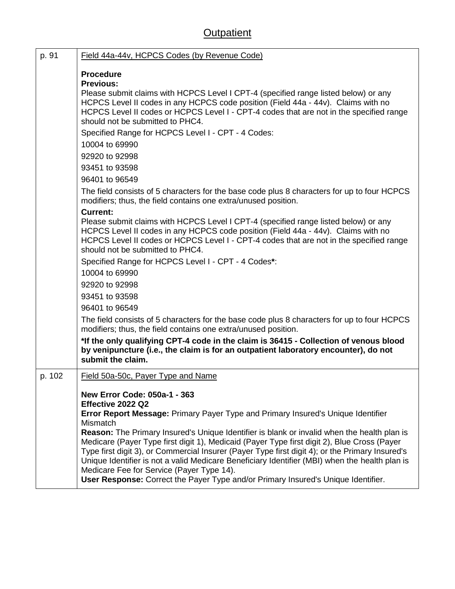## **Outpatient**

| p. 91  | Field 44a-44v, HCPCS Codes (by Revenue Code)                                                                                                                                                                                                                                                                                                                                                                                                                                                                                                                                                                                                                                           |
|--------|----------------------------------------------------------------------------------------------------------------------------------------------------------------------------------------------------------------------------------------------------------------------------------------------------------------------------------------------------------------------------------------------------------------------------------------------------------------------------------------------------------------------------------------------------------------------------------------------------------------------------------------------------------------------------------------|
|        | <b>Procedure</b><br><b>Previous:</b><br>Please submit claims with HCPCS Level I CPT-4 (specified range listed below) or any<br>HCPCS Level II codes in any HCPCS code position (Field 44a - 44v). Claims with no<br>HCPCS Level II codes or HCPCS Level I - CPT-4 codes that are not in the specified range<br>should not be submitted to PHC4.<br>Specified Range for HCPCS Level I - CPT - 4 Codes:                                                                                                                                                                                                                                                                                  |
|        | 10004 to 69990<br>92920 to 92998<br>93451 to 93598<br>96401 to 96549                                                                                                                                                                                                                                                                                                                                                                                                                                                                                                                                                                                                                   |
|        | The field consists of 5 characters for the base code plus 8 characters for up to four HCPCS<br>modifiers; thus, the field contains one extra/unused position.                                                                                                                                                                                                                                                                                                                                                                                                                                                                                                                          |
|        | <b>Current:</b><br>Please submit claims with HCPCS Level I CPT-4 (specified range listed below) or any<br>HCPCS Level II codes in any HCPCS code position (Field 44a - 44v). Claims with no<br>HCPCS Level II codes or HCPCS Level I - CPT-4 codes that are not in the specified range<br>should not be submitted to PHC4.                                                                                                                                                                                                                                                                                                                                                             |
|        | Specified Range for HCPCS Level I - CPT - 4 Codes*:<br>10004 to 69990<br>92920 to 92998                                                                                                                                                                                                                                                                                                                                                                                                                                                                                                                                                                                                |
|        | 93451 to 93598<br>96401 to 96549                                                                                                                                                                                                                                                                                                                                                                                                                                                                                                                                                                                                                                                       |
|        | The field consists of 5 characters for the base code plus 8 characters for up to four HCPCS<br>modifiers; thus, the field contains one extra/unused position.                                                                                                                                                                                                                                                                                                                                                                                                                                                                                                                          |
|        | *If the only qualifying CPT-4 code in the claim is 36415 - Collection of venous blood<br>by venipuncture (i.e., the claim is for an outpatient laboratory encounter), do not<br>submit the claim.                                                                                                                                                                                                                                                                                                                                                                                                                                                                                      |
| p. 102 | Field 50a-50c, Payer Type and Name                                                                                                                                                                                                                                                                                                                                                                                                                                                                                                                                                                                                                                                     |
|        | New Error Code: 050a-1 - 363<br>Effective 2022 Q2<br>Error Report Message: Primary Payer Type and Primary Insured's Unique Identifier<br>Mismatch<br>Reason: The Primary Insured's Unique Identifier is blank or invalid when the health plan is<br>Medicare (Payer Type first digit 1), Medicaid (Payer Type first digit 2), Blue Cross (Payer<br>Type first digit 3), or Commercial Insurer (Payer Type first digit 4); or the Primary Insured's<br>Unique Identifier is not a valid Medicare Beneficiary Identifier (MBI) when the health plan is<br>Medicare Fee for Service (Payer Type 14).<br>User Response: Correct the Payer Type and/or Primary Insured's Unique Identifier. |